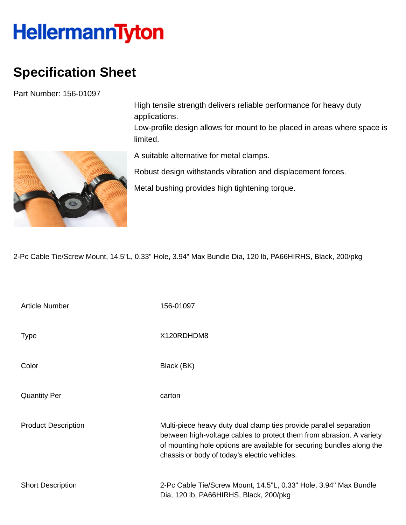## **HellermannTyton**

## **Specification Sheet**

Part Number: 156-01097



High tensile strength delivers reliable performance for heavy duty applications.

Low-profile design allows for mount to be placed in areas where space is limited.

A suitable alternative for metal clamps.

Robust design withstands vibration and displacement forces.

Metal bushing provides high tightening torque.

2-Pc Cable Tie/Screw Mount, 14.5"L, 0.33" Hole, 3.94" Max Bundle Dia, 120 lb, PA66HIRHS, Black, 200/pkg

| <b>Article Number</b>      | 156-01097                                                                                                                                                                                                                                                            |
|----------------------------|----------------------------------------------------------------------------------------------------------------------------------------------------------------------------------------------------------------------------------------------------------------------|
| <b>Type</b>                | X120RDHDM8                                                                                                                                                                                                                                                           |
| Color                      | Black (BK)                                                                                                                                                                                                                                                           |
| <b>Quantity Per</b>        | carton                                                                                                                                                                                                                                                               |
| <b>Product Description</b> | Multi-piece heavy duty dual clamp ties provide parallel separation<br>between high-voltage cables to protect them from abrasion. A variety<br>of mounting hole options are available for securing bundles along the<br>chassis or body of today's electric vehicles. |
| <b>Short Description</b>   | 2-Pc Cable Tie/Screw Mount, 14.5"L, 0.33" Hole, 3.94" Max Bundle<br>Dia, 120 lb, PA66HIRHS, Black, 200/pkg                                                                                                                                                           |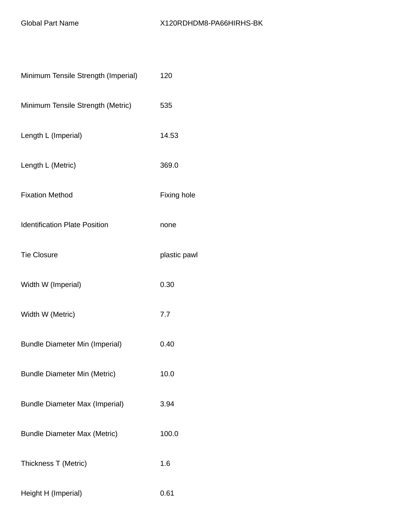| Minimum Tensile Strength (Imperial)   | 120          |
|---------------------------------------|--------------|
| Minimum Tensile Strength (Metric)     | 535          |
| Length L (Imperial)                   | 14.53        |
| Length L (Metric)                     | 369.0        |
| <b>Fixation Method</b>                | Fixing hole  |
| <b>Identification Plate Position</b>  | none         |
| <b>Tie Closure</b>                    | plastic pawl |
| Width W (Imperial)                    | 0.30         |
| Width W (Metric)                      | 7.7          |
| <b>Bundle Diameter Min (Imperial)</b> | 0.40         |
| <b>Bundle Diameter Min (Metric)</b>   | 10.0         |
| <b>Bundle Diameter Max (Imperial)</b> | 3.94         |
| <b>Bundle Diameter Max (Metric)</b>   | 100.0        |
| Thickness T (Metric)                  | 1.6          |
| Height H (Imperial)                   | 0.61         |